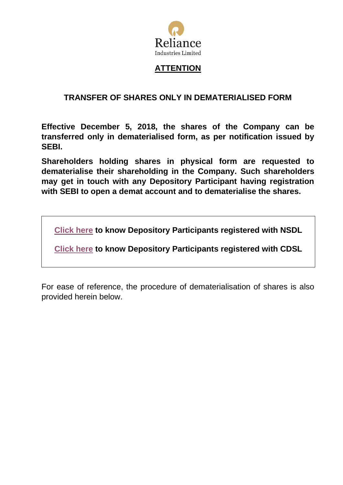

# **ATTENTION**

## **TRANSFER OF SHARES ONLY IN DEMATERIALISED FORM**

**Effective December 5, 2018, the shares of the Company can be transferred only in dematerialised form, as per notification issued by SEBI.**

**Shareholders holding shares in physical form are requested to dematerialise their shareholding in the Company. Such shareholders may get in touch with any Depository Participant having registration with SEBI to open a demat account and to dematerialise the shares.**

**[Click here](https://www.sebi.gov.in/sebiweb/other/OtherAction.do?doRecognisedFpi=yes&intmId=19) to know Depository Participants registered with NSDL**

**[Click here](https://www.sebi.gov.in/sebiweb/other/OtherAction.do?doRecognisedFpi=yes&intmId=18) to know Depository Participants registered with CDSL**

For ease of reference, the procedure of dematerialisation of shares is also provided herein below.